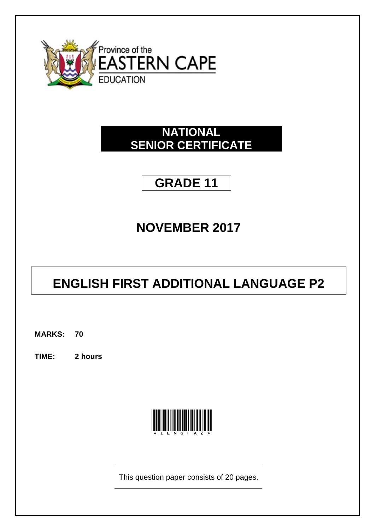

# **NATIONAL SENIOR CERTIFICATE**

# **GRADE 11**

# **NOVEMBER 2017**

# **ENGLISH FIRST ADDITIONAL LANGUAGE P2**

**MARKS: 70**

**TIME: 2 hours**



This question paper consists of 20 pages.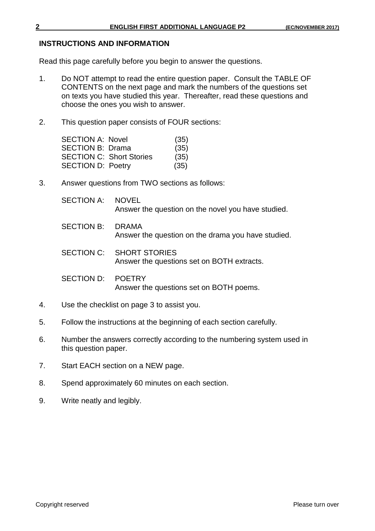#### **INSTRUCTIONS AND INFORMATION**

Read this page carefully before you begin to answer the questions.

- 1. Do NOT attempt to read the entire question paper. Consult the TABLE OF CONTENTS on the next page and mark the numbers of the questions set on texts you have studied this year. Thereafter, read these questions and choose the ones you wish to answer.
- 2. This question paper consists of FOUR sections:

| <b>SECTION A: Novel</b>  |                                 | (35) |
|--------------------------|---------------------------------|------|
| <b>SECTION B: Drama</b>  |                                 | (35) |
|                          | <b>SECTION C: Short Stories</b> | (35) |
| <b>SECTION D: Poetry</b> |                                 | (35) |

3. Answer questions from TWO sections as follows:

| SECTION A: NOVEL |                                                    |
|------------------|----------------------------------------------------|
|                  | Answer the question on the novel you have studied. |

SECTION B: DRAMA Answer the question on the drama you have studied.

SECTION C: SHORT STORIES Answer the questions set on BOTH extracts.

SECTION D: POETRY Answer the questions set on BOTH poems.

- 4. Use the checklist on page 3 to assist you.
- 5. Follow the instructions at the beginning of each section carefully.
- 6. Number the answers correctly according to the numbering system used in this question paper.
- 7. Start EACH section on a NEW page.
- 8. Spend approximately 60 minutes on each section.
- 9. Write neatly and legibly.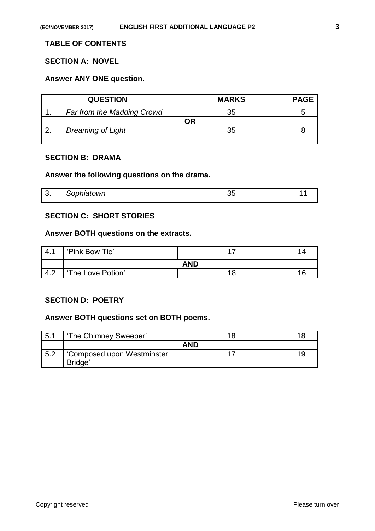# **TABLE OF CONTENTS**

# **SECTION A: NOVEL**

#### **Answer ANY ONE question.**

| <b>QUESTION</b>            | <b>MARKS</b> | <b>PAGE</b> |
|----------------------------|--------------|-------------|
| Far from the Madding Crowd | 35           |             |
|                            | ОR           |             |
| Dreaming of Light          | つよ           |             |
|                            |              |             |

#### **SECTION B: DRAMA**

#### **Answer the following questions on the drama.**

| $\sim$<br>◡. | <i>Sophiatown</i> |  |
|--------------|-------------------|--|

# **SECTION C: SHORT STORIES**

#### **Answer BOTH questions on the extracts.**

| 4.1 | 'Pink Bow Tie'    |            |  |
|-----|-------------------|------------|--|
|     |                   | <b>AND</b> |  |
| 4.2 | 'The Love Potion' |            |  |

#### **SECTION D: POETRY**

# **Answer BOTH questions set on BOTH poems.**

| 5.1 | 'The Chimney Sweeper'                 |     | 18 |
|-----|---------------------------------------|-----|----|
|     |                                       | AND |    |
| 5.2 | 'Composed upon Westminster<br>Bridge' |     | 19 |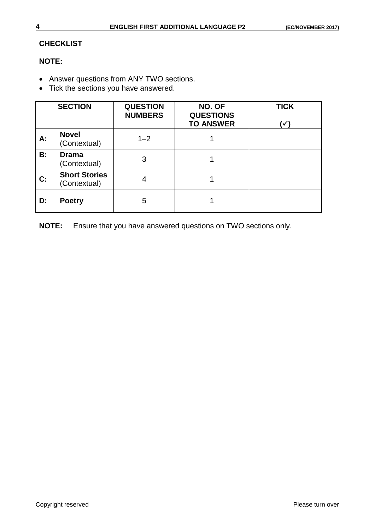# **CHECKLIST**

# **NOTE:**

- Answer questions from ANY TWO sections.
- Tick the sections you have answered.

|                | <b>SECTION</b>                       | <b>QUESTION</b><br><b>NUMBERS</b> | NO. OF<br><b>QUESTIONS</b><br><b>TO ANSWER</b> | <b>TICK</b><br>⁄ ا |
|----------------|--------------------------------------|-----------------------------------|------------------------------------------------|--------------------|
| А:             | <b>Novel</b><br>(Contextual)         | $1 - 2$                           |                                                |                    |
| B:             | <b>Drama</b><br>(Contextual)         | 3                                 |                                                |                    |
| $\mathbf{C}$ : | <b>Short Stories</b><br>(Contextual) | 4                                 |                                                |                    |
| D:             | <b>Poetry</b>                        | 5                                 |                                                |                    |

**NOTE:** Ensure that you have answered questions on TWO sections only.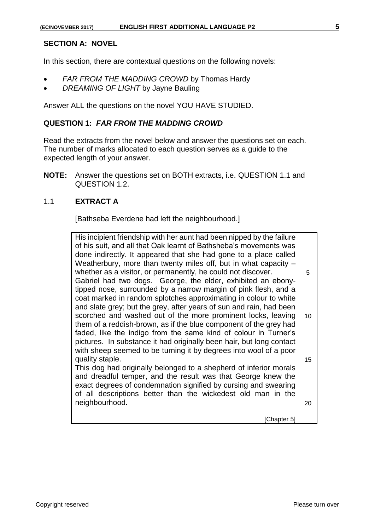#### **SECTION A: NOVEL**

In this section, there are contextual questions on the following novels:

- *FAR FROM THE MADDING CROWD* by Thomas Hardy
- *DREAMING OF LIGHT* by Jayne Bauling

Answer ALL the questions on the novel YOU HAVE STUDIED.

#### **QUESTION 1:** *FAR FROM THE MADDING CROWD*

Read the extracts from the novel below and answer the questions set on each. The number of marks allocated to each question serves as a guide to the expected length of your answer.

**NOTE:** Answer the questions set on BOTH extracts, i.e. QUESTION 1.1 and QUESTION 1.2.

## 1.1 **EXTRACT A**

[Bathseba Everdene had left the neighbourhood.]

His incipient friendship with her aunt had been nipped by the failure of his suit, and all that Oak learnt of Bathsheba's movements was done indirectly. It appeared that she had gone to a place called Weatherbury, more than twenty miles off, but in what capacity – whether as a visitor, or permanently, he could not discover.  $\frac{5}{5}$ Gabriel had two dogs. George, the elder, exhibited an ebonytipped nose, surrounded by a narrow margin of pink flesh, and a coat marked in random splotches approximating in colour to white and slate grey; but the grey, after years of sun and rain, had been scorched and washed out of the more prominent locks, leaving them of a reddish-brown, as if the blue component of the grey had faded, like the indigo from the same kind of colour in Turner's pictures. In substance it had originally been hair, but long contact with sheep seemed to be turning it by degrees into wool of a poor quality staple. 10 15 This dog had originally belonged to a shepherd of inferior morals and dreadful temper, and the result was that George knew the exact degrees of condemnation signified by cursing and swearing of all descriptions better than the wickedest old man in the neighbourhood. 20 [Chapter 5]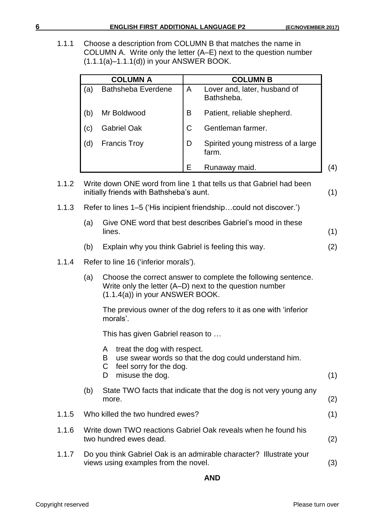1.1.1 Choose a description from COLUMN B that matches the name in COLUMN A. Write only the letter (A–E) next to the question number (1.1.1(a)–1.1.1(d)) in your ANSWER BOOK.

|     | <b>COLUMN A</b>           |   | <b>COLUMN B</b>                             |  |
|-----|---------------------------|---|---------------------------------------------|--|
| (a) | <b>Bathsheba Everdene</b> | A | Lover and, later, husband of<br>Bathsheba.  |  |
| (b) | Mr Boldwood               | B | Patient, reliable shepherd.                 |  |
| (C) | <b>Gabriel Oak</b>        | C | Gentleman farmer.                           |  |
| (d) | <b>Francis Troy</b>       | D | Spirited young mistress of a large<br>farm. |  |
|     |                           | Е | Runaway maid.                               |  |

- 1.1.2 Write down ONE word from line 1 that tells us that Gabriel had been initially friends with Bathsheba's aunt. (1)
- 1.1.3 Refer to lines 1–5 ('His incipient friendship…could not discover.')
	- (a) Give ONE word that best describes Gabriel's mood in these  $lines.$  (1)
	- (b) Explain why you think Gabriel is feeling this way. (2)

## 1.1.4 Refer to line 16 ('inferior morals').

(a) Choose the correct answer to complete the following sentence. Write only the letter (A–D) next to the question number (1.1.4(a)) in your ANSWER BOOK.

The previous owner of the dog refers to it as one with 'inferior morals'.

This has given Gabriel reason to …

A treat the dog with respect. B use swear words so that the dog could understand him. C feel sorry for the dog. D misuse the dog. (1) (b) State TWO facts that indicate that the dog is not very young any more.  $(2)$ 1.1.5 Who killed the two hundred ewes? (1) 1.1.6 Write down TWO reactions Gabriel Oak reveals when he found his two hundred ewes dead. (2) 1.1.7 Do you think Gabriel Oak is an admirable character? Illustrate your views using examples from the novel. (3)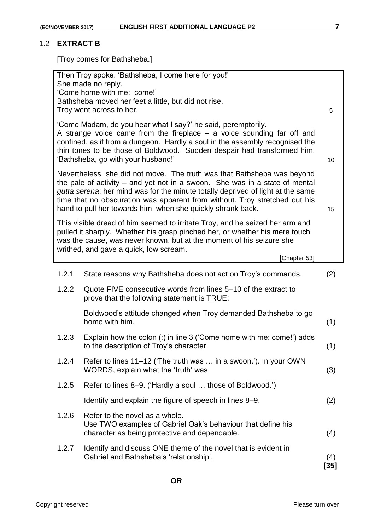#### 1.2 **EXTRACT B**

[Troy comes for Bathsheba.]

| Then Troy spoke. 'Bathsheba, I come here for you!'<br>She made no reply.<br>'Come home with me: come!'<br>Bathsheba moved her feet a little, but did not rise.<br>Troy went across to her.<br>5                                                                                                                                           |                                                                                                                                                                                                                                                                                                                                                                                        |             |  |  |
|-------------------------------------------------------------------------------------------------------------------------------------------------------------------------------------------------------------------------------------------------------------------------------------------------------------------------------------------|----------------------------------------------------------------------------------------------------------------------------------------------------------------------------------------------------------------------------------------------------------------------------------------------------------------------------------------------------------------------------------------|-------------|--|--|
| 'Come Madam, do you hear what I say?' he said, peremptorily.<br>A strange voice came from the fireplace $-$ a voice sounding far off and<br>confined, as if from a dungeon. Hardly a soul in the assembly recognised the<br>thin tones to be those of Boldwood. Sudden despair had transformed him.<br>'Bathsheba, go with your husband!' |                                                                                                                                                                                                                                                                                                                                                                                        |             |  |  |
|                                                                                                                                                                                                                                                                                                                                           | Nevertheless, she did not move. The truth was that Bathsheba was beyond<br>the pale of activity – and yet not in a swoon. She was in a state of mental<br>gutta serena; her mind was for the minute totally deprived of light at the same<br>time that no obscuration was apparent from without. Troy stretched out his<br>hand to pull her towards him, when she quickly shrank back. | 15          |  |  |
|                                                                                                                                                                                                                                                                                                                                           | This visible dread of him seemed to irritate Troy, and he seized her arm and<br>pulled it sharply. Whether his grasp pinched her, or whether his mere touch<br>was the cause, was never known, but at the moment of his seizure she<br>writhed, and gave a quick, low scream.<br>[Chapter 53]                                                                                          |             |  |  |
| 1.2.1                                                                                                                                                                                                                                                                                                                                     | State reasons why Bathsheba does not act on Troy's commands.                                                                                                                                                                                                                                                                                                                           | (2)         |  |  |
| 1.2.2                                                                                                                                                                                                                                                                                                                                     | Quote FIVE consecutive words from lines 5–10 of the extract to<br>prove that the following statement is TRUE:                                                                                                                                                                                                                                                                          |             |  |  |
|                                                                                                                                                                                                                                                                                                                                           | Boldwood's attitude changed when Troy demanded Bathsheba to go<br>home with him.                                                                                                                                                                                                                                                                                                       | (1)         |  |  |
| 1.2.3                                                                                                                                                                                                                                                                                                                                     | Explain how the colon (:) in line 3 ('Come home with me: come!') adds<br>to the description of Troy's character.                                                                                                                                                                                                                                                                       | (1)         |  |  |
| 1.2.4                                                                                                                                                                                                                                                                                                                                     | Refer to lines 11–12 ('The truth was  in a swoon.'). In your OWN<br>WORDS, explain what the 'truth' was.                                                                                                                                                                                                                                                                               | (3)         |  |  |
| 1.2.5                                                                                                                                                                                                                                                                                                                                     | Refer to lines 8–9. ('Hardly a soul  those of Boldwood.')                                                                                                                                                                                                                                                                                                                              |             |  |  |
|                                                                                                                                                                                                                                                                                                                                           | Identify and explain the figure of speech in lines 8–9.                                                                                                                                                                                                                                                                                                                                | (2)         |  |  |
| 1.2.6                                                                                                                                                                                                                                                                                                                                     | Refer to the novel as a whole.<br>Use TWO examples of Gabriel Oak's behaviour that define his<br>character as being protective and dependable.                                                                                                                                                                                                                                         | (4)         |  |  |
| 1.2.7                                                                                                                                                                                                                                                                                                                                     | Identify and discuss ONE theme of the novel that is evident in<br>Gabriel and Bathsheba's 'relationship'.                                                                                                                                                                                                                                                                              | (4)<br>[35] |  |  |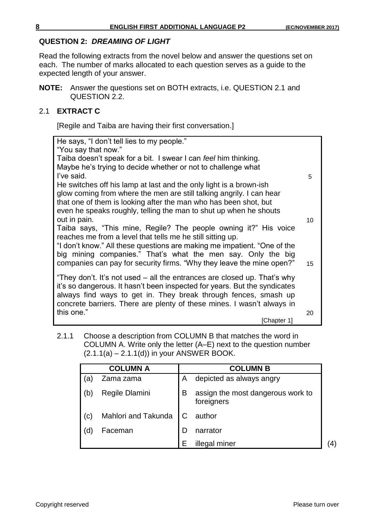#### **QUESTION 2:** *DREAMING OF LIGHT*

Read the following extracts from the novel below and answer the questions set on each. The number of marks allocated to each question serves as a guide to the expected length of your answer.

**NOTE:** Answer the questions set on BOTH extracts, i.e. QUESTION 2.1 and QUESTION 2.2.

#### 2.1 **EXTRACT C**

[Regile and Taiba are having their first conversation.]

| He says, "I don't tell lies to my people."<br>"You say that now."                                                                                     |    |
|-------------------------------------------------------------------------------------------------------------------------------------------------------|----|
| Taiba doesn't speak for a bit. I swear I can feel him thinking.                                                                                       |    |
| Maybe he's trying to decide whether or not to challenge what<br>I've said.                                                                            | 5  |
| He switches off his lamp at last and the only light is a brown-ish                                                                                    |    |
| glow coming from where the men are still talking angrily. I can hear                                                                                  |    |
| that one of them is looking after the man who has been shot, but<br>even he speaks roughly, telling the man to shut up when he shouts                 |    |
| out in pain.                                                                                                                                          | 10 |
| Taiba says, "This mine, Regile? The people owning it?" His voice<br>reaches me from a level that tells me he still sitting up.                        |    |
| "I don't know." All these questions are making me impatient. "One of the                                                                              |    |
| big mining companies." That's what the men say. Only the big                                                                                          |    |
| companies can pay for security firms. "Why they leave the mine open?"                                                                                 | 15 |
| "They don't. It's not used – all the entrances are closed up. That's why<br>it's so dangerous. It hasn't been inspected for years. But the syndicates |    |
| always find ways to get in. They break through fences, smash up                                                                                       |    |
| concrete barriers. There are plenty of these mines. I wasn't always in                                                                                |    |
| this one."<br>[Chapter 1]                                                                                                                             | 20 |

2.1.1 Choose a description from COLUMN B that matches the word in COLUMN A. Write only the letter (A–E) next to the question number  $(2.1.1(a) - 2.1.1(d))$  in your ANSWER BOOK.

|     | <b>COLUMN A</b>     |   | <b>COLUMN B</b>                                 |    |
|-----|---------------------|---|-------------------------------------------------|----|
| (a  | Zama zama           | A | depicted as always angry                        |    |
| (b) | Regile Dlamini      | B | assign the most dangerous work to<br>foreigners |    |
| (c) | Mahlori and Takunda | C | author                                          |    |
| (d  | Faceman             | D | narrator                                        |    |
|     |                     | F | illegal miner                                   | 4) |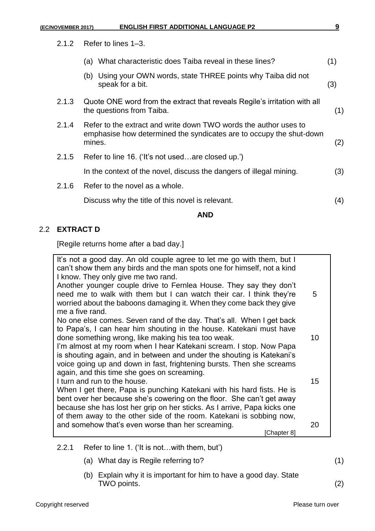2.1.2 Refer to lines 1–3.

|       | AND                                                                                                                                               |     |
|-------|---------------------------------------------------------------------------------------------------------------------------------------------------|-----|
|       | Discuss why the title of this novel is relevant.                                                                                                  | (4) |
| 2.1.6 | Refer to the novel as a whole.                                                                                                                    |     |
|       | In the context of the novel, discuss the dangers of illegal mining.                                                                               | (3) |
| 2.1.5 | Refer to line 16. ('It's not usedare closed up.')                                                                                                 |     |
| 2.1.4 | Refer to the extract and write down TWO words the author uses to<br>emphasise how determined the syndicates are to occupy the shut-down<br>mines. | (2) |
| 2.1.3 | Quote ONE word from the extract that reveals Regile's irritation with all<br>the questions from Taiba.                                            | (1) |
|       | (b) Using your OWN words, state THREE points why Taiba did not<br>speak for a bit.                                                                | (3) |
|       | (a) What characteristic does Taiba reveal in these lines?                                                                                         | (1) |

# 2.2 **EXTRACT D**

[Regile returns home after a bad day.]

| It's not a good day. An old couple agree to let me go with them, but I<br>can't show them any birds and the man spots one for himself, not a kind |    |
|---------------------------------------------------------------------------------------------------------------------------------------------------|----|
| I know. They only give me two rand.                                                                                                               |    |
| Another younger couple drive to Fernlea House. They say they don't                                                                                |    |
| need me to walk with them but I can watch their car. I think they're                                                                              | 5  |
| worried about the baboons damaging it. When they come back they give                                                                              |    |
| me a five rand.                                                                                                                                   |    |
| No one else comes. Seven rand of the day. That's all. When I get back                                                                             |    |
| to Papa's, I can hear him shouting in the house. Katekani must have                                                                               |    |
| done something wrong, like making his tea too weak.                                                                                               | 10 |
|                                                                                                                                                   |    |
| I'm almost at my room when I hear Katekani scream. I stop. Now Papa                                                                               |    |
| is shouting again, and in between and under the shouting is Katekani's                                                                            |    |
| voice going up and down in fast, frightening bursts. Then she screams                                                                             |    |
| again, and this time she goes on screaming.<br>I turn and run to the house.                                                                       | 15 |
|                                                                                                                                                   |    |
| When I get there, Papa is punching Katekani with his hard fists. He is                                                                            |    |
| bent over her because she's cowering on the floor. She can't get away                                                                             |    |
| because she has lost her grip on her sticks. As I arrive, Papa kicks one                                                                          |    |
| of them away to the other side of the room. Katekani is sobbing now,                                                                              |    |
| and somehow that's even worse than her screaming.                                                                                                 | 20 |
| Chapter 8]                                                                                                                                        |    |
|                                                                                                                                                   |    |

# 2.2.1 Refer to line 1. ('It is not…with them, but')

- (a) What day is Regile referring to? (1)
- (b) Explain why it is important for him to have a good day. State TWO points. (2)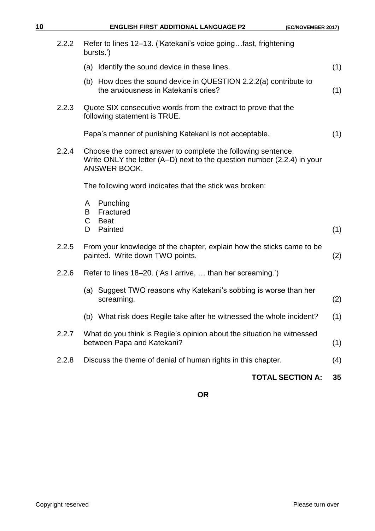| 10 |       | <b>ENGLISH FIRST ADDITIONAL LANGUAGE P2</b><br>(EC/NOVEMBER 2017)                                                                                        |     |
|----|-------|----------------------------------------------------------------------------------------------------------------------------------------------------------|-----|
|    | 2.2.2 | Refer to lines 12–13. ('Katekani's voice goingfast, frightening<br>bursts.')                                                                             |     |
|    |       | (a) Identify the sound device in these lines.                                                                                                            | (1) |
|    |       | (b) How does the sound device in QUESTION 2.2.2(a) contribute to<br>the anxiousness in Katekani's cries?                                                 | (1) |
|    | 2.2.3 | Quote SIX consecutive words from the extract to prove that the<br>following statement is TRUE.                                                           |     |
|    |       | Papa's manner of punishing Katekani is not acceptable.                                                                                                   | (1) |
|    | 2.2.4 | Choose the correct answer to complete the following sentence.<br>Write ONLY the letter (A–D) next to the question number (2.2.4) in your<br>ANSWER BOOK. |     |
|    |       | The following word indicates that the stick was broken:                                                                                                  |     |
|    |       | Punching<br>A<br>Fractured<br>B<br>C<br><b>Beat</b><br>Painted<br>D                                                                                      | (1) |
|    | 2.2.5 | From your knowledge of the chapter, explain how the sticks came to be<br>painted. Write down TWO points.                                                 | (2) |
|    | 2.2.6 | Refer to lines 18–20. ('As I arrive,  than her screaming.')                                                                                              |     |
|    |       | (a) Suggest TWO reasons why Katekani's sobbing is worse than her<br>screaming.                                                                           | (2) |
|    |       | (b) What risk does Regile take after he witnessed the whole incident?                                                                                    | (1) |
|    | 2.2.7 | What do you think is Regile's opinion about the situation he witnessed<br>between Papa and Katekani?                                                     | (1) |
|    | 2.2.8 | Discuss the theme of denial of human rights in this chapter.                                                                                             | (4) |
|    |       | <b>TOTAL SECTION A:</b>                                                                                                                                  | 35  |
|    |       |                                                                                                                                                          |     |

**OR**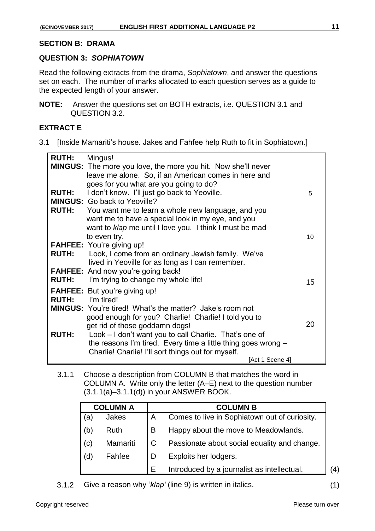#### **SECTION B: DRAMA**

#### **QUESTION 3:** *SOPHIATOWN*

Read the following extracts from the drama, *Sophiatown*, and answer the questions set on each. The number of marks allocated to each question serves as a guide to the expected length of your answer.

**NOTE:** Answer the questions set on BOTH extracts, i.e. QUESTION 3.1 and QUESTION 3.2.

# **EXTRACT E**

3.1 [Inside Mamariti's house. Jakes and Fahfee help Ruth to fit in Sophiatown.]

| <b>RUTH:</b> | Mingus!                                                              |    |
|--------------|----------------------------------------------------------------------|----|
|              | <b>MINGUS:</b> The more you love, the more you hit. Now she'll never |    |
|              | leave me alone. So, if an American comes in here and                 |    |
|              | goes for you what are you going to do?                               |    |
| <b>RUTH:</b> | I don't know. I'll just go back to Yeoville.                         | 5  |
|              | <b>MINGUS:</b> Go back to Yeoville?                                  |    |
|              | <b>RUTH:</b> You want me to learn a whole new language, and you      |    |
|              | want me to have a special look in my eye, and you                    |    |
|              | want to klap me until I love you. I think I must be mad              |    |
|              | to even try.                                                         | 10 |
|              | <b>FAHFEE:</b> You're giving up!                                     |    |
| <b>RUTH:</b> | Look, I come from an ordinary Jewish family. We've                   |    |
|              | lived in Yeoville for as long as I can remember.                     |    |
|              | <b>FAHFEE:</b> And now you're going back!                            |    |
| <b>RUTH:</b> | I'm trying to change my whole life!                                  | 15 |
|              | <b>FAHFEE:</b> But you're giving up!                                 |    |
| <b>RUTH:</b> | I'm tired!                                                           |    |
|              | <b>MINGUS:</b> You're tired! What's the matter? Jake's room not      |    |
|              | good enough for you? Charlie! Charlie! I told you to                 |    |
|              | get rid of those goddamn dogs!                                       | 20 |
| <b>RUTH:</b> | Look - I don't want you to call Charlie. That's one of               |    |
|              | the reasons I'm tired. Every time a little thing goes wrong $-$      |    |
|              | Charlie! Charlie! I'll sort things out for myself.                   |    |
|              | [Act 1 Scene 4]                                                      |    |

3.1.1 Choose a description from COLUMN B that matches the word in COLUMN A. Write only the letter (A–E) next to the question number (3.1.1(a)–3.1.1(d)) in your ANSWER BOOK.

| <b>COLUMN A</b> |             |               | <b>COLUMN B</b>                               |     |
|-----------------|-------------|---------------|-----------------------------------------------|-----|
| 'a)             | Jakes       | A             | Comes to live in Sophiatown out of curiosity. |     |
| (b)             | <b>Ruth</b> | B             | Happy about the move to Meadowlands.          |     |
| (c)             | Mamariti    | $\mathcal{C}$ | Passionate about social equality and change.  |     |
| (d)             | Fahfee      |               | Exploits her lodgers.                         |     |
|                 |             | Е             | Introduced by a journalist as intellectual.   | (4) |

3.1.2 Give a reason why '*klap'* (line 9) is written in italics. (1)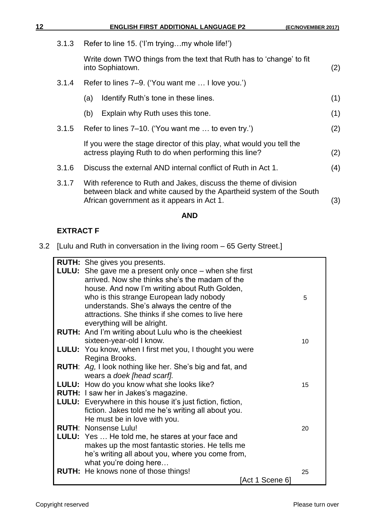| 12 |       | <b>ENGLISH FIRST ADDITIONAL LANGUAGE P2</b>                                                                                                                                          | (EC/NOVEMBER 2017) |
|----|-------|--------------------------------------------------------------------------------------------------------------------------------------------------------------------------------------|--------------------|
|    | 3.1.3 | Refer to line 15. ('I'm tryingmy whole life!')                                                                                                                                       |                    |
|    |       | Write down TWO things from the text that Ruth has to 'change' to fit<br>into Sophiatown.                                                                                             | (2)                |
|    | 3.1.4 | Refer to lines 7–9. ('You want me  I love you.')                                                                                                                                     |                    |
|    |       | Identify Ruth's tone in these lines.<br>(a)                                                                                                                                          | (1)                |
|    |       | Explain why Ruth uses this tone.<br>(b)                                                                                                                                              | (1)                |
|    | 3.1.5 | Refer to lines 7–10. ('You want me  to even try.')                                                                                                                                   | (2)                |
|    |       | If you were the stage director of this play, what would you tell the<br>actress playing Ruth to do when performing this line?                                                        | (2)                |
|    | 3.1.6 | Discuss the external AND internal conflict of Ruth in Act 1.                                                                                                                         | (4)                |
|    | 3.1.7 | With reference to Ruth and Jakes, discuss the theme of division<br>between black and white caused by the Apartheid system of the South<br>African government as it appears in Act 1. | (3)                |

# **AND**

# **EXTRACT F**

3.2 [Lulu and Ruth in conversation in the living room – 65 Gerty Street.]

| <b>RUTH:</b> She gives you presents.                              |    |
|-------------------------------------------------------------------|----|
| <b>LULU:</b> She gave me a present only once – when she first     |    |
| arrived. Now she thinks she's the madam of the                    |    |
| house. And now I'm writing about Ruth Golden,                     |    |
| who is this strange European lady nobody                          | 5  |
| understands. She's always the centre of the                       |    |
| attractions. She thinks if she comes to live here                 |    |
| everything will be alright.                                       |    |
| <b>RUTH:</b> And I'm writing about Lulu who is the cheekiest      |    |
| sixteen-year-old I know.                                          | 10 |
| LULU: You know, when I first met you, I thought you were          |    |
| Regina Brooks.                                                    |    |
| <b>RUTH:</b> Ag, I look nothing like her. She's big and fat, and  |    |
| wears a doek [head scarf].                                        |    |
| LULU: How do you know what she looks like?                        | 15 |
| <b>RUTH:</b> I saw her in Jakes's magazine.                       |    |
| <b>LULU:</b> Everywhere in this house it's just fiction, fiction, |    |
| fiction. Jakes told me he's writing all about you.                |    |
| He must be in love with you.                                      |    |
| <b>RUTH: Nonsense Lulu!</b>                                       | 20 |
| <b>LULU:</b> Yes  He told me, he stares at your face and          |    |
| makes up the most fantastic stories. He tells me                  |    |
| he's writing all about you, where you come from,                  |    |
| what you're doing here                                            |    |
| <b>RUTH:</b> He knows none of those things!                       | 25 |
| [Act 1 Scene 6]                                                   |    |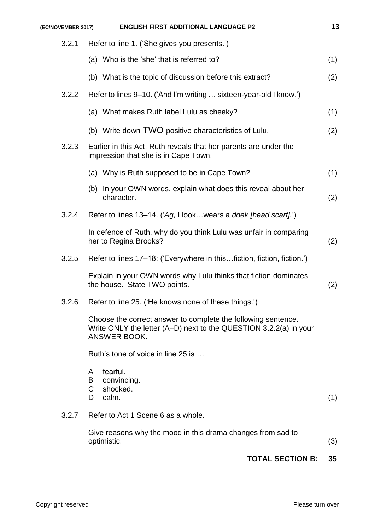| (EC/NOVEMBER 2017) | <b>ENGLISH FIRST ADDITIONAL LANGUAGE P2</b>                                                                                                        | <u>13</u> |
|--------------------|----------------------------------------------------------------------------------------------------------------------------------------------------|-----------|
| 3.2.1              | Refer to line 1. ('She gives you presents.')                                                                                                       |           |
|                    | (a) Who is the 'she' that is referred to?                                                                                                          | (1)       |
|                    | (b) What is the topic of discussion before this extract?                                                                                           | (2)       |
| 3.2.2              | Refer to lines 9–10. ('And I'm writing  sixteen-year-old I know.')                                                                                 |           |
|                    | (a) What makes Ruth label Lulu as cheeky?                                                                                                          | (1)       |
|                    | (b) Write down TWO positive characteristics of Lulu.                                                                                               | (2)       |
| 3.2.3              | Earlier in this Act, Ruth reveals that her parents are under the<br>impression that she is in Cape Town.                                           |           |
|                    | (a) Why is Ruth supposed to be in Cape Town?                                                                                                       | (1)       |
|                    | (b) In your OWN words, explain what does this reveal about her<br>character.                                                                       | (2)       |
| 3.2.4              | Refer to lines 13–14. ('Ag, I look wears a doek [head scarf].')                                                                                    |           |
|                    | In defence of Ruth, why do you think Lulu was unfair in comparing<br>her to Regina Brooks?                                                         | (2)       |
| 3.2.5              | Refer to lines 17–18: ('Everywhere in thisfiction, fiction, fiction.')                                                                             |           |
|                    | Explain in your OWN words why Lulu thinks that fiction dominates<br>the house. State TWO points.                                                   | (2)       |
| 3.2.6              | Refer to line 25. ('He knows none of these things.')                                                                                               |           |
|                    | Choose the correct answer to complete the following sentence.<br>Write ONLY the letter (A–D) next to the QUESTION 3.2.2(a) in your<br>ANSWER BOOK. |           |
|                    | Ruth's tone of voice in line 25 is                                                                                                                 |           |
|                    | fearful.<br>A<br>B<br>convincing.<br>shocked.<br>C<br>calm.<br>D                                                                                   | (1)       |
| 3.2.7              | Refer to Act 1 Scene 6 as a whole.                                                                                                                 |           |
|                    | Give reasons why the mood in this drama changes from sad to<br>optimistic.                                                                         | (3)       |
|                    | <b>TOTAL SECTION B:</b>                                                                                                                            | 35        |
|                    |                                                                                                                                                    |           |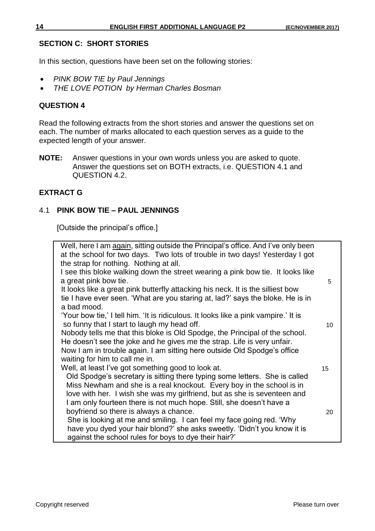# **SECTION C: SHORT STORIES**

In this section, questions have been set on the following stories:

- *PINK BOW TIE by Paul Jennings*
- *THE LOVE POTION by Herman Charles Bosman*

# **QUESTION 4**

Read the following extracts from the short stories and answer the questions set on each. The number of marks allocated to each question serves as a guide to the expected length of your answer.

**NOTE:** Answer questions in your own words unless you are asked to quote. Answer the questions set on BOTH extracts, i.e. QUESTION 4.1 and QUESTION 4.2.

# **EXTRACT G**

# 4.1 **PINK BOW TIE – PAUL JENNINGS**

[Outside the principal's office.]

| Well, here I am again, sitting outside the Principal's office. And I've only been   |    |
|-------------------------------------------------------------------------------------|----|
| at the school for two days. Two lots of trouble in two days! Yesterday I got        |    |
| the strap for nothing. Nothing at all.                                              |    |
| I see this bloke walking down the street wearing a pink bow tie. It looks like      |    |
| a great pink bow tie.                                                               | 5  |
| It looks like a great pink butterfly attacking his neck. It is the silliest bow     |    |
| tie I have ever seen. 'What are you staring at, lad?' says the bloke. He is in      |    |
| a bad mood.                                                                         |    |
| 'Your bow tie,' I tell him. 'It is ridiculous. It looks like a pink vampire.' It is |    |
| so funny that I start to laugh my head off.                                         | 10 |
| Nobody tells me that this bloke is Old Spodge, the Principal of the school.         |    |
| He doesn't see the joke and he gives me the strap. Life is very unfair.             |    |
| Now I am in trouble again. I am sitting here outside Old Spodge's office            |    |
| waiting for him to call me in.                                                      |    |
| Well, at least I've got something good to look at.                                  | 15 |
| Old Spodge's secretary is sitting there typing some letters. She is called          |    |
| Miss Newham and she is a real knockout. Every boy in the school is in               |    |
| love with her. I wish she was my girlfriend, but as she is seventeen and            |    |
| I am only fourteen there is not much hope. Still, she doesn't have a                |    |
| boyfriend so there is always a chance.                                              | 20 |
| She is looking at me and smiling. I can feel my face going red. 'Why                |    |
| have you dyed your hair blond?' she asks sweetly. 'Didn't you know it is            |    |
| against the school rules for boys to dye their hair?'                               |    |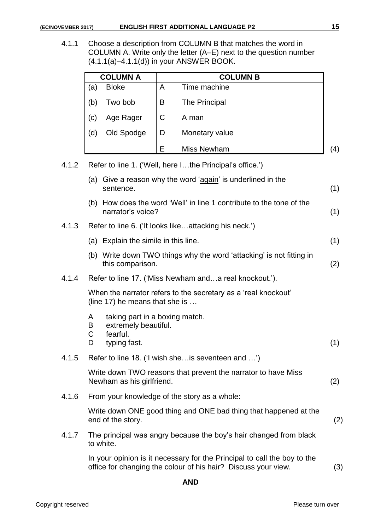4.1.1 Choose a description from COLUMN B that matches the word in COLUMN A. Write only the letter (A–E) next to the question number (4.1.1(a)–4.1.1(d)) in your ANSWER BOOK.

|                   | <b>COLUMN A</b> |              | <b>COLUMN B</b> |                   |
|-------------------|-----------------|--------------|-----------------|-------------------|
| (a)               | <b>Bloke</b>    | Α            | Time machine    |                   |
| (b)               | Two bob         | B            | The Principal   |                   |
| $\left( c\right)$ | Age Rager       | $\mathsf{C}$ | A man           |                   |
| (d)               | Old Spodge      | D            | Monetary value  |                   |
|                   |                 | F            | Miss Newham     | $\left( 4\right)$ |

4.1.2 Refer to line 1. ('Well, here I…the Principal's office.')

|       |                             | (a) Give a reason why the word 'again' is underlined in the<br>sentence.                                                                   | (1) |
|-------|-----------------------------|--------------------------------------------------------------------------------------------------------------------------------------------|-----|
|       |                             | (b) How does the word 'Well' in line 1 contribute to the tone of the<br>narrator's voice?                                                  | (1) |
| 4.1.3 |                             | Refer to line 6. ('It looks likeattacking his neck.')                                                                                      |     |
|       |                             | (a) Explain the simile in this line.                                                                                                       | (1) |
|       |                             | (b) Write down TWO things why the word 'attacking' is not fitting in<br>this comparison.                                                   | (2) |
| 4.1.4 |                             | Refer to line 17. ('Miss Newham anda real knockout.').                                                                                     |     |
|       |                             | When the narrator refers to the secretary as a 'real knockout'<br>(line 17) he means that she is                                           |     |
|       | A<br>B<br>$\mathsf{C}$<br>D | taking part in a boxing match.<br>extremely beautiful.<br>fearful.<br>typing fast.                                                         | (1) |
| 4.1.5 |                             | Refer to line 18. ('I wish she is seventeen and ')                                                                                         |     |
|       |                             | Write down TWO reasons that prevent the narrator to have Miss<br>Newham as his girlfriend.                                                 | (2) |
| 4.1.6 |                             | From your knowledge of the story as a whole:                                                                                               |     |
|       |                             | Write down ONE good thing and ONE bad thing that happened at the<br>end of the story.                                                      | (2) |
| 4.1.7 |                             | The principal was angry because the boy's hair changed from black<br>to white.                                                             |     |
|       |                             | In your opinion is it necessary for the Principal to call the boy to the<br>office for changing the colour of his hair? Discuss your view. | (3) |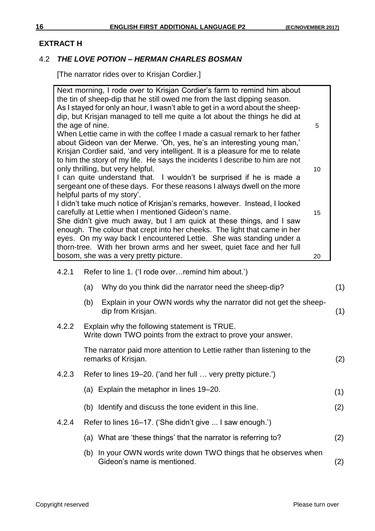#### **EXTRACT H**

#### 4.2 *THE LOVE POTION – HERMAN CHARLES BOSMAN*

[The narrator rides over to Krisjan Cordier.]

|       | Next morning, I rode over to Krisjan Cordier's farm to remind him about<br>the tin of sheep-dip that he still owed me from the last dipping season.<br>As I stayed for only an hour, I wasn't able to get in a word about the sheep-<br>dip, but Krisjan managed to tell me quite a lot about the things he did at<br>the age of nine.<br>5<br>When Lettie came in with the coffee I made a casual remark to her father<br>about Gideon van der Merwe. 'Oh, yes, he's an interesting young man,'<br>Krisjan Cordier said, 'and very intelligent. It is a pleasure for me to relate<br>to him the story of my life. He says the incidents I describe to him are not<br>only thrilling, but very helpful.<br>10<br>I can quite understand that. I wouldn't be surprised if he is made a<br>sergeant one of these days. For these reasons I always dwell on the more<br>helpful parts of my story'.<br>I didn't take much notice of Krisjan's remarks, however. Instead, I looked<br>carefully at Lettie when I mentioned Gideon's name.<br>15<br>She didn't give much away, but I am quick at these things, and I saw<br>enough. The colour that crept into her cheeks. The light that came in her<br>eyes. On my way back I encountered Lettie. She was standing under a<br>thorn-tree. With her brown arms and her sweet, quiet face and her full<br>bosom, she was a very pretty picture.<br>20 |     |
|-------|--------------------------------------------------------------------------------------------------------------------------------------------------------------------------------------------------------------------------------------------------------------------------------------------------------------------------------------------------------------------------------------------------------------------------------------------------------------------------------------------------------------------------------------------------------------------------------------------------------------------------------------------------------------------------------------------------------------------------------------------------------------------------------------------------------------------------------------------------------------------------------------------------------------------------------------------------------------------------------------------------------------------------------------------------------------------------------------------------------------------------------------------------------------------------------------------------------------------------------------------------------------------------------------------------------------------------------------------------------------------------------------------------|-----|
| 4.2.1 | Refer to line 1. ('I rode over remind him about.')                                                                                                                                                                                                                                                                                                                                                                                                                                                                                                                                                                                                                                                                                                                                                                                                                                                                                                                                                                                                                                                                                                                                                                                                                                                                                                                                               |     |
|       | (a)<br>Why do you think did the narrator need the sheep-dip?                                                                                                                                                                                                                                                                                                                                                                                                                                                                                                                                                                                                                                                                                                                                                                                                                                                                                                                                                                                                                                                                                                                                                                                                                                                                                                                                     | (1) |
|       | Explain in your OWN words why the narrator did not get the sheep-<br>(b)<br>dip from Krisjan.                                                                                                                                                                                                                                                                                                                                                                                                                                                                                                                                                                                                                                                                                                                                                                                                                                                                                                                                                                                                                                                                                                                                                                                                                                                                                                    | (1) |
| 4.2.2 | Explain why the following statement is TRUE.<br>Write down TWO points from the extract to prove your answer.                                                                                                                                                                                                                                                                                                                                                                                                                                                                                                                                                                                                                                                                                                                                                                                                                                                                                                                                                                                                                                                                                                                                                                                                                                                                                     |     |
|       | The narrator paid more attention to Lettie rather than listening to the<br>remarks of Krisjan.                                                                                                                                                                                                                                                                                                                                                                                                                                                                                                                                                                                                                                                                                                                                                                                                                                                                                                                                                                                                                                                                                                                                                                                                                                                                                                   | (2) |
| 4.2.3 | Refer to lines 19–20. ('and her full  very pretty picture.')                                                                                                                                                                                                                                                                                                                                                                                                                                                                                                                                                                                                                                                                                                                                                                                                                                                                                                                                                                                                                                                                                                                                                                                                                                                                                                                                     |     |
|       | (a) Explain the metaphor in lines 19–20.                                                                                                                                                                                                                                                                                                                                                                                                                                                                                                                                                                                                                                                                                                                                                                                                                                                                                                                                                                                                                                                                                                                                                                                                                                                                                                                                                         | (1) |
|       | (b) Identify and discuss the tone evident in this line.                                                                                                                                                                                                                                                                                                                                                                                                                                                                                                                                                                                                                                                                                                                                                                                                                                                                                                                                                                                                                                                                                                                                                                                                                                                                                                                                          | (2) |
| 4.2.4 | Refer to lines 16–17. ('She didn't give  I saw enough.')                                                                                                                                                                                                                                                                                                                                                                                                                                                                                                                                                                                                                                                                                                                                                                                                                                                                                                                                                                                                                                                                                                                                                                                                                                                                                                                                         |     |
|       | (a) What are 'these things' that the narrator is referring to?                                                                                                                                                                                                                                                                                                                                                                                                                                                                                                                                                                                                                                                                                                                                                                                                                                                                                                                                                                                                                                                                                                                                                                                                                                                                                                                                   | (2) |
|       | (b) In your OWN words write down TWO things that he observes when<br>Gideon's name is mentioned.                                                                                                                                                                                                                                                                                                                                                                                                                                                                                                                                                                                                                                                                                                                                                                                                                                                                                                                                                                                                                                                                                                                                                                                                                                                                                                 | (2) |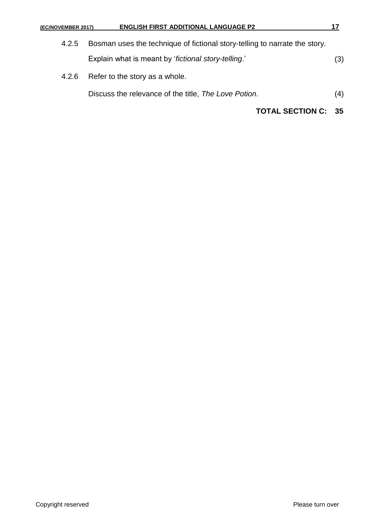| (EC/NOVEMBER 2017) | <b>ENGLISH FIRST ADDITIONAL LANGUAGE P2</b>                                | 17  |
|--------------------|----------------------------------------------------------------------------|-----|
| 4.2.5              | Bosman uses the technique of fictional story-telling to narrate the story. |     |
|                    | Explain what is meant by 'fictional story-telling.'                        | (3) |
| 4.2.6              | Refer to the story as a whole.                                             |     |
|                    | Discuss the relevance of the title, The Love Potion.                       | (4) |
|                    | <b>TOTAL SECTION C:</b>                                                    | 35  |
|                    |                                                                            |     |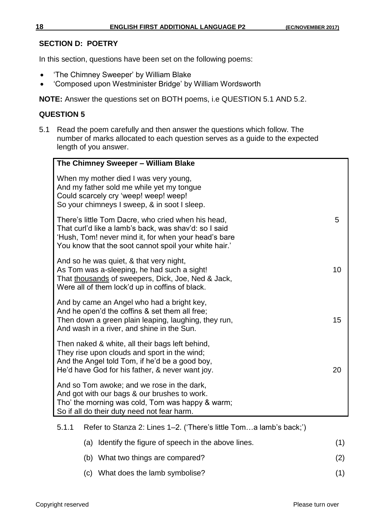# **SECTION D: POETRY**

In this section, questions have been set on the following poems:

- 'The Chimney Sweeper' by William Blake
- 'Composed upon Westminister Bridge' by William Wordsworth

**NOTE:** Answer the questions set on BOTH poems, i.e QUESTION 5.1 AND 5.2.

# **QUESTION 5**

5.1 Read the poem carefully and then answer the questions which follow. The number of marks allocated to each question serves as a guide to the expected length of you answer.

| The Chimney Sweeper - William Blake                                                                                                                                                                                          |    |
|------------------------------------------------------------------------------------------------------------------------------------------------------------------------------------------------------------------------------|----|
| When my mother died I was very young,<br>And my father sold me while yet my tongue<br>Could scarcely cry 'weep! weep! weep!<br>So your chimneys I sweep, & in soot I sleep.                                                  |    |
| There's little Tom Dacre, who cried when his head,<br>That curl'd like a lamb's back, was shav'd: so I said<br>'Hush, Tom! never mind it, for when your head's bare<br>You know that the soot cannot spoil your white hair.' | 5  |
| And so he was quiet, & that very night,<br>As Tom was a-sleeping, he had such a sight!<br>That thousands of sweepers, Dick, Joe, Ned & Jack,<br>Were all of them lock'd up in coffins of black.                              | 10 |
| And by came an Angel who had a bright key,<br>And he open'd the coffins & set them all free;<br>Then down a green plain leaping, laughing, they run,<br>And wash in a river, and shine in the Sun.                           | 15 |
| Then naked & white, all their bags left behind,<br>They rise upon clouds and sport in the wind;<br>And the Angel told Tom, if he'd be a good boy,<br>He'd have God for his father, & never want joy.                         | 20 |
| And so Tom awoke; and we rose in the dark,<br>And got with our bags & our brushes to work.<br>Tho' the morning was cold, Tom was happy & warm;<br>So if all do their duty need not fear harm.                                |    |

## 5.1.1 Refer to Stanza 2: Lines 1–2. ('There's little Tom…a lamb's back;')

|  | (a) Identify the figure of speech in the above lines. | (1) |
|--|-------------------------------------------------------|-----|
|  | (b) What two things are compared?                     | (2) |
|  | (c) What does the lamb symbolise?                     |     |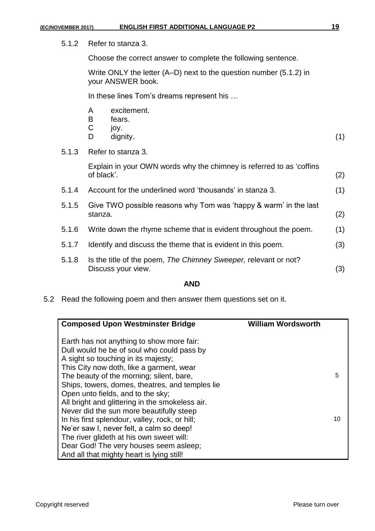5.1.2 Refer to stanza 3.

Choose the correct answer to complete the following sentence.

Write ONLY the letter (A–D) next to the question number (5.1.2) in your ANSWER book.

In these lines Tom's dreams represent his …

- A excitement.
- B fears.
- C joy.
- D dignity. (1)
- 5.1.3 Refer to stanza 3.

Explain in your OWN words why the chimney is referred to as 'coffins of black'. (2)

- 5.1.4 Account for the underlined word 'thousands' in stanza 3. (1)
- 5.1.5 Give TWO possible reasons why Tom was 'happy & warm' in the last stanza. (2)
- 5.1.6 Write down the rhyme scheme that is evident throughout the poem. (1)
- 5.1.7 Identify and discuss the theme that is evident in this poem. (3)
- 5.1.8 Is the title of the poem, *The Chimney Sweeper,* relevant or not? Discuss your view. (3)

#### **AND**

5.2 Read the following poem and then answer them questions set on it.

| <b>Composed Upon Westminster Bridge</b>         | <b>William Wordsworth</b> |  |
|-------------------------------------------------|---------------------------|--|
| Earth has not anything to show more fair:       |                           |  |
| Dull would he be of soul who could pass by      |                           |  |
| A sight so touching in its majesty;             |                           |  |
| This City now doth, like a garment, wear        |                           |  |
| The beauty of the morning; silent, bare,        | 5                         |  |
| Ships, towers, domes, theatres, and temples lie |                           |  |
| Open unto fields, and to the sky;               |                           |  |
| All bright and glittering in the smokeless air. |                           |  |
| Never did the sun more beautifully steep        |                           |  |
| In his first splendour, valley, rock, or hill;  |                           |  |
| Ne'er saw I, never felt, a calm so deep!        |                           |  |
| The river glideth at his own sweet will:        |                           |  |
| Dear God! The very houses seem as leep;         |                           |  |
| And all that mighty heart is lying still!       |                           |  |